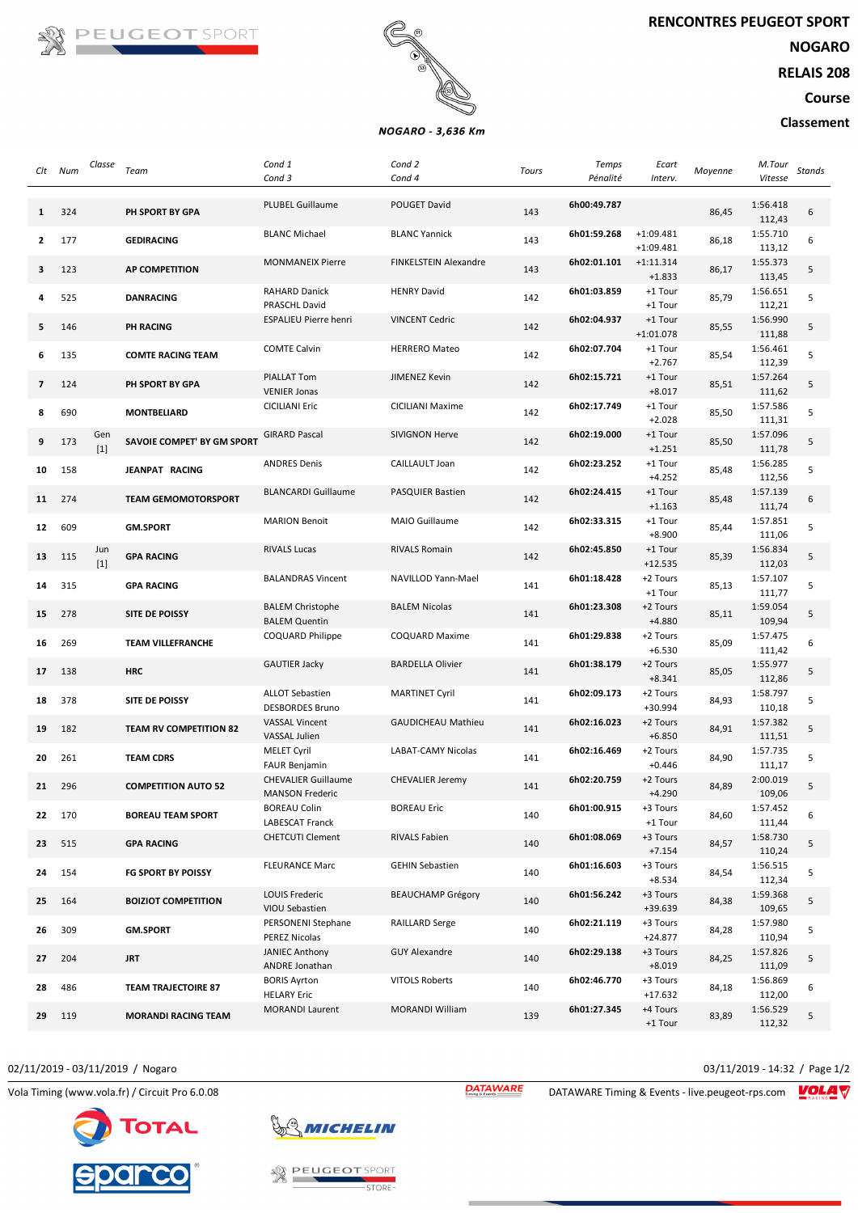

**NOGARO**

**RELAIS 208**

**Course**

## **Classement**



## NOGARO - 3,636 Km

| Clt            | Num | Classe       | Team                          | Cond 1                                               | Cond 2                       | Tours | <b>Temps</b> | Ecart                      | Moyenne | M.Tour             | Stands |
|----------------|-----|--------------|-------------------------------|------------------------------------------------------|------------------------------|-------|--------------|----------------------------|---------|--------------------|--------|
|                |     |              |                               | Cond 3                                               | Cond 4                       |       | Pénalité     | Interv.                    |         | Vitesse            |        |
| 1              | 324 |              | PH SPORT BY GPA               | <b>PLUBEL Guillaume</b>                              | POUGET David                 | 143   | 6h00:49.787  |                            | 86,45   | 1:56.418<br>112,43 | 6      |
| 2              | 177 |              | <b>GEDIRACING</b>             | <b>BLANC Michael</b>                                 | <b>BLANC Yannick</b>         | 143   | 6h01:59.268  | $+1:09.481$<br>$+1:09.481$ | 86,18   | 1:55.710<br>113,12 | 6      |
| 3              | 123 |              | <b>AP COMPETITION</b>         | <b>MONMANEIX Pierre</b>                              | <b>FINKELSTEIN Alexandre</b> | 143   | 6h02:01.101  | $+1:11.314$<br>$+1.833$    | 86,17   | 1:55.373<br>113,45 | 5      |
| 4              | 525 |              | <b>DANRACING</b>              | <b>RAHARD Danick</b><br>PRASCHL David                | <b>HENRY David</b>           | 142   | 6h01:03.859  | +1 Tour<br>+1 Tour         | 85,79   | 1:56.651<br>112,21 | 5      |
| 5              | 146 |              | <b>PH RACING</b>              | <b>ESPALIEU Pierre henri</b>                         | <b>VINCENT Cedric</b>        | 142   | 6h02:04.937  | +1 Tour<br>$+1:01.078$     | 85,55   | 1:56.990<br>111,88 | 5      |
| 6              | 135 |              | <b>COMTE RACING TEAM</b>      | <b>COMTE Calvin</b>                                  | <b>HERRERO Mateo</b>         | 142   | 6h02:07.704  | +1 Tour<br>$+2.767$        | 85,54   | 1:56.461<br>112,39 | 5      |
| $\overline{7}$ | 124 |              | PH SPORT BY GPA               | <b>PIALLAT Tom</b><br><b>VENIER Jonas</b>            | JIMENEZ Kevin                | 142   | 6h02:15.721  | +1 Tour<br>$+8.017$        | 85,51   | 1:57.264<br>111,62 | 5      |
| 8              | 690 |              | <b>MONTBELIARD</b>            | <b>CICILIANI Eric</b>                                | CICILIANI Maxime             | 142   | 6h02:17.749  | +1 Tour<br>$+2.028$        | 85,50   | 1:57.586<br>111,31 | 5      |
| 9              | 173 | Gen<br>$[1]$ | SAVOIE COMPET' BY GM SPORT    | <b>GIRARD Pascal</b>                                 | <b>SIVIGNON Herve</b>        | 142   | 6h02:19.000  | +1 Tour<br>$+1.251$        | 85,50   | 1:57.096<br>111,78 | 5      |
| 10             | 158 |              | JEANPAT RACING                | <b>ANDRES Denis</b>                                  | CAILLAULT Joan               | 142   | 6h02:23.252  | +1 Tour<br>$+4.252$        | 85,48   | 1:56.285<br>112,56 | 5      |
| 11             | 274 |              | <b>TEAM GEMOMOTORSPORT</b>    | <b>BLANCARDI Guillaume</b>                           | PASQUIER Bastien             | 142   | 6h02:24.415  | +1 Tour<br>$+1.163$        | 85,48   | 1:57.139<br>111,74 | 6      |
| 12             | 609 |              | <b>GM.SPORT</b>               | <b>MARION Benoit</b>                                 | MAIO Guillaume               | 142   | 6h02:33.315  | +1 Tour<br>$+8.900$        | 85,44   | 1:57.851<br>111,06 | 5      |
| 13             | 115 | Jun<br>$[1]$ | <b>GPA RACING</b>             | <b>RIVALS Lucas</b>                                  | <b>RIVALS Romain</b>         | 142   | 6h02:45.850  | +1 Tour<br>$+12.535$       | 85,39   | 1:56.834<br>112,03 | 5      |
| 14             | 315 |              | <b>GPA RACING</b>             | <b>BALANDRAS Vincent</b>                             | NAVILLOD Yann-Mael           | 141   | 6h01:18.428  | +2 Tours<br>+1 Tour        | 85,13   | 1:57.107<br>111,77 | 5      |
| 15             | 278 |              | SITE DE POISSY                | <b>BALEM Christophe</b><br><b>BALEM Quentin</b>      | <b>BALEM Nicolas</b>         | 141   | 6h01:23.308  | +2 Tours<br>+4.880         | 85,11   | 1:59.054<br>109,94 | 5      |
| 16             | 269 |              | <b>TEAM VILLEFRANCHE</b>      | COQUARD Philippe                                     | COQUARD Maxime               | 141   | 6h01:29.838  | +2 Tours<br>$+6.530$       | 85,09   | 1:57.475<br>111,42 | 6      |
| 17             | 138 |              | <b>HRC</b>                    | <b>GAUTIER Jacky</b>                                 | <b>BARDELLA Olivier</b>      | 141   | 6h01:38.179  | +2 Tours<br>$+8.341$       | 85,05   | 1:55.977<br>112,86 | 5      |
| 18             | 378 |              | SITE DE POISSY                | <b>ALLOT Sebastien</b><br><b>DESBORDES Bruno</b>     | <b>MARTINET Cyril</b>        | 141   | 6h02:09.173  | +2 Tours<br>+30.994        | 84,93   | 1:58.797<br>110,18 | 5      |
| 19             | 182 |              | <b>TEAM RV COMPETITION 82</b> | <b>VASSAL Vincent</b><br><b>VASSAL Julien</b>        | <b>GAUDICHEAU Mathieu</b>    | 141   | 6h02:16.023  | +2 Tours<br>$+6.850$       | 84,91   | 1:57.382<br>111,51 | 5      |
| 20             | 261 |              | <b>TEAM CDRS</b>              | <b>MELET Cyril</b><br><b>FAUR Benjamin</b>           | <b>LABAT-CAMY Nicolas</b>    | 141   | 6h02:16.469  | +2 Tours<br>$+0.446$       | 84,90   | 1:57.735<br>111,17 | 5      |
| 21             | 296 |              | <b>COMPETITION AUTO 52</b>    | <b>CHEVALIER Guillaume</b><br><b>MANSON Frederic</b> | <b>CHEVALIER Jeremy</b>      | 141   | 6h02:20.759  | +2 Tours<br>$+4.290$       | 84,89   | 2:00.019<br>109,06 | 5      |
| 22             | 170 |              | <b>BOREAU TEAM SPORT</b>      | <b>BOREAU Colin</b><br>LABESCAT Franck               | <b>BOREAU Eric</b>           | 140   | 6h01:00.915  | +3 Tours<br>+1 Tour        | 84,60   | 1:57.452<br>111,44 | 6      |
| 23             | 515 |              | <b>GPA RACING</b>             | <b>CHETCUTI Clement</b>                              | RIVALS Fabien                | 140   | 6h01:08.069  | +3 Tours<br>$+7.154$       | 84,57   | 1:58.730<br>110,24 | 5      |
| 24             | 154 |              | <b>FG SPORT BY POISSY</b>     | <b>FLEURANCE Marc</b>                                | <b>GEHIN Sebastien</b>       | 140   | 6h01:16.603  | +3 Tours<br>$+8.534$       | 84,54   | 1:56.515<br>112,34 | 5      |
| 25             | 164 |              | <b>BOIZIOT COMPETITION</b>    | LOUIS Frederic<br>VIOU Sebastien                     | <b>BEAUCHAMP Grégory</b>     | 140   | 6h01:56.242  | +3 Tours<br>+39.639        | 84,38   | 1:59.368<br>109,65 | 5      |
| 26             | 309 |              | <b>GM.SPORT</b>               | PERSONENI Stephane<br>PEREZ Nicolas                  | <b>RAILLARD Serge</b>        | 140   | 6h02:21.119  | +3 Tours<br>$+24.877$      | 84,28   | 1:57.980<br>110,94 | 5      |
| 27             | 204 |              | <b>JRT</b>                    | <b>JANIEC Anthony</b><br>ANDRE Jonathan              | <b>GUY Alexandre</b>         | 140   | 6h02:29.138  | +3 Tours<br>$+8.019$       | 84,25   | 1:57.826<br>111,09 | 5      |
| 28             | 486 |              | <b>TEAM TRAJECTOIRE 87</b>    | <b>BORIS Ayrton</b><br><b>HELARY Eric</b>            | <b>VITOLS Roberts</b>        | 140   | 6h02:46.770  | +3 Tours<br>$+17.632$      | 84,18   | 1:56.869<br>112,00 | 6      |
| 29             | 119 |              | <b>MORANDI RACING TEAM</b>    | <b>MORANDI Laurent</b>                               | <b>MORANDI William</b>       | 139   | 6h01:27.345  | +4 Tours<br>+1 Tour        | 83,89   | 1:56.529<br>112,32 | 5      |

## 02/11/2019 - 03/11/2019 / Nogaro 03/11/2019 - 14:32 / Page 1/2





**EUGEOT SPORT** STORE-

Vola Timing (www.vola.fr) / Circuit Pro 6.0.08 **DATAWARE** DATAWARE Timing & Events - live.peugeot-rps.com **VOLA**